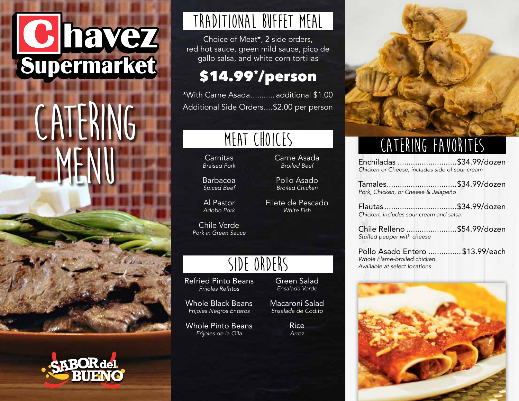# C havez<br>Supermarket

## **CATERING MENU**





## **TRADITIONAL BUFFET MEAL**

Choice of Meat\*, 2 side orders, red hot sauce, green mild sauce, pico de gallo salsa, and white corn tortillas

### \$14.99\* /person

\*With Carne Asada........... additional \$1.00 Additional Side Orders....\$2.00 per person

## **MEAT CHOICES**

Carnitas *Braised Pork*

Barbacoa *Spiced Beef*

Al Pastor *Adobo Pork*

Chile Verde *Pork in Green Sauce*

## **SIDE ORDERS**

Refried Pinto Beans *Frijoles Refritos*

Whole Black Beans *Frijoles Negros Enteros*

Whole Pinto Beans *Frijoles de la Olla*

Green Salad *Ensalada Verde*

Carne Asada *Broiled Beef*

Pollo Asado *Broiled Chicken*

Filete de Pescado *White Fish*

Macaroni Salad *Ensalada de Codito*

> Rice *Arroz*



## **CATERING FAVORITES**

| Enchiladas \$34.99/dozen                       |  |
|------------------------------------------------|--|
| Chicken or Cheese, includes side of sour cream |  |

Tamales................................\$34.99/dozen *Pork, Chicken, or Cheese & Jalapeño*

Flautas .................................\$34.99/dozen *Chicken, includes sour cream and salsa*

Chile Relleno .......................\$54.99/dozen *Stuffed pepper with cheese*

Pollo Asado Entero ............... \$13.99/each *Whole Flame-broiled chicken Available at select locations*